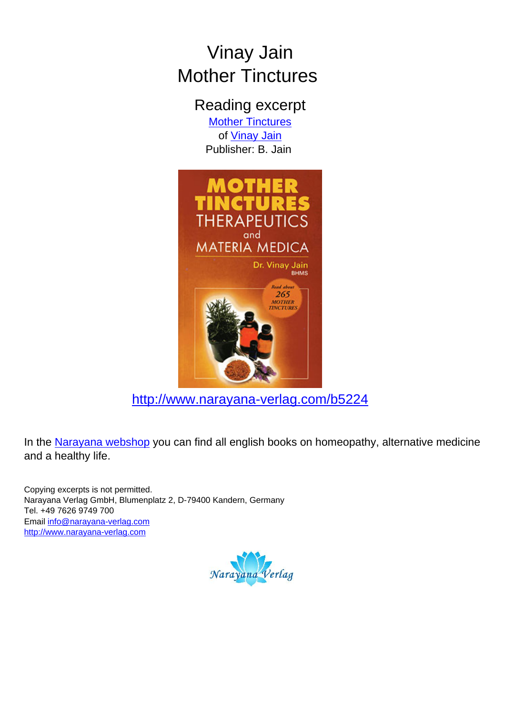# Vinay Jain Mother Tinctures

### Reading excerpt

**[Mother Tinctures](http://www.narayana-verlag.com/Mother-Tinctures-Vinay-Jain/b5224/partner/leseprobe)** of [Vinay Jain](http://www.narayana-verlag.com/Vinay-Jain/a1657/partner/leseprobe) Publisher: B. Jain



[http://www.narayana-verlag.com/b5224](http://www.narayana-verlag.com/Mother-Tinctures-Vinay-Jain/b5224/partner/leseprobe)

In the [Narayana webshop](http://www.narayana-verlag.com/partner/leseprobe) you can find all english books on homeopathy, alternative medicine and a healthy life.

Copying excerpts is not permitted. Narayana Verlag GmbH, Blumenplatz 2, D-79400 Kandern, Germany Tel. +49 7626 9749 700 Email [info@narayana-verlag.com](mailto:info@narayana-verlag.com) [http://www.narayana-verlag.com](http://www.narayana-verlag.com/partner/leseprobe)

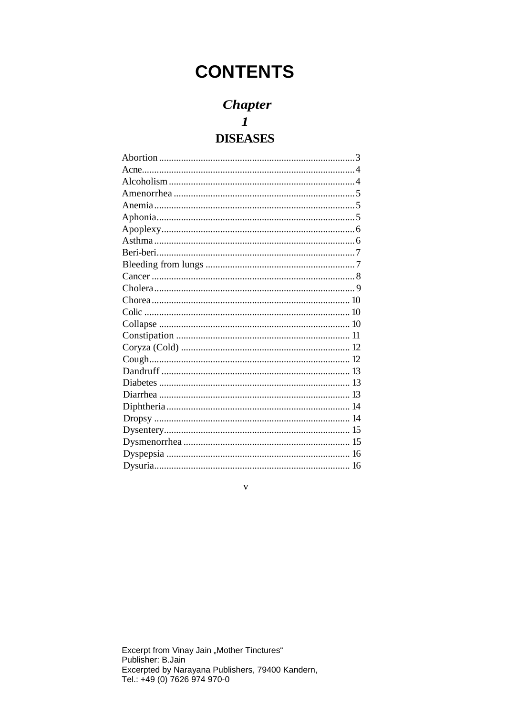## **CONTENTS**

### **Chapter**  $\boldsymbol{l}$ **DISEASES**

 $\mathbf{V}$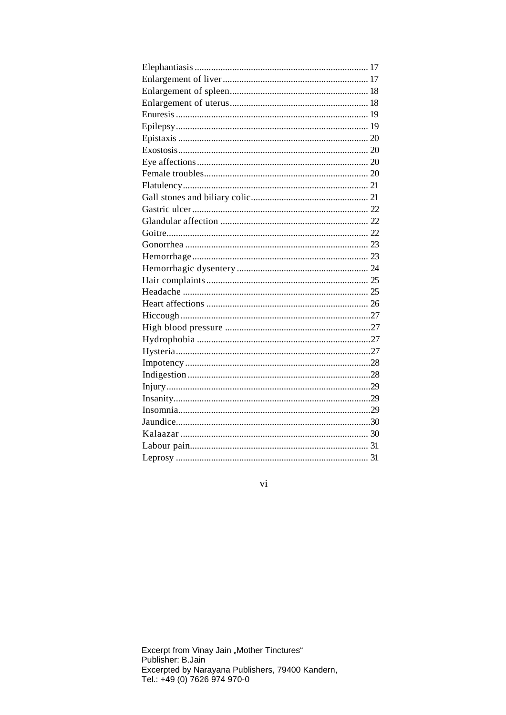${\rm vi}$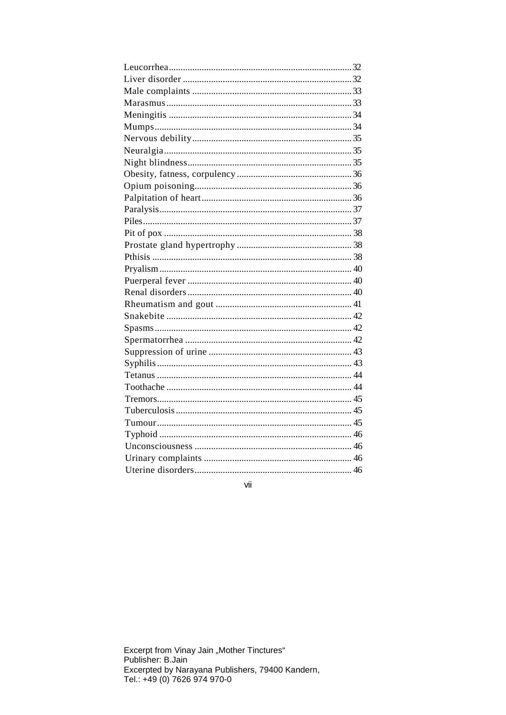vii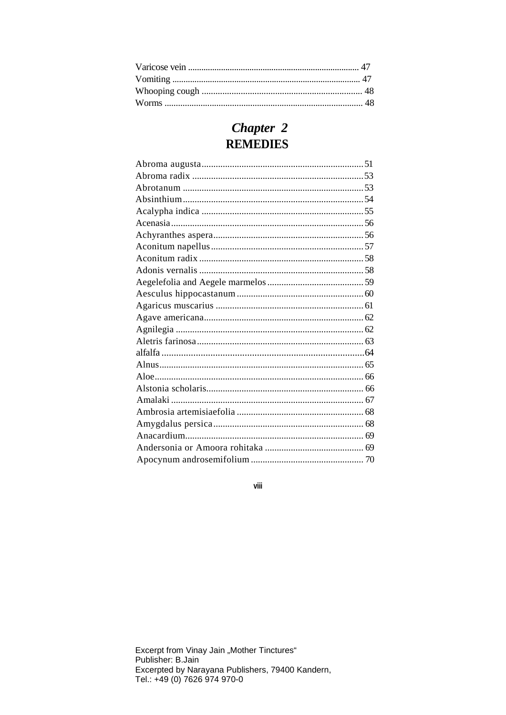#### Chapter 2 **REMEDIES**

viii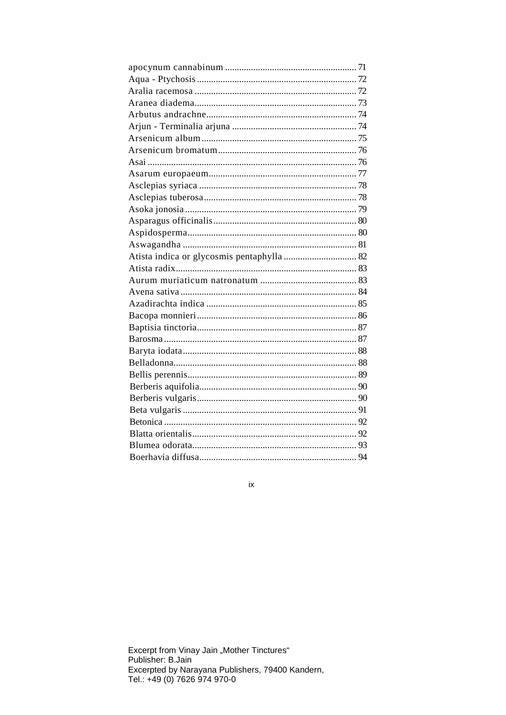$i\mathsf{x}$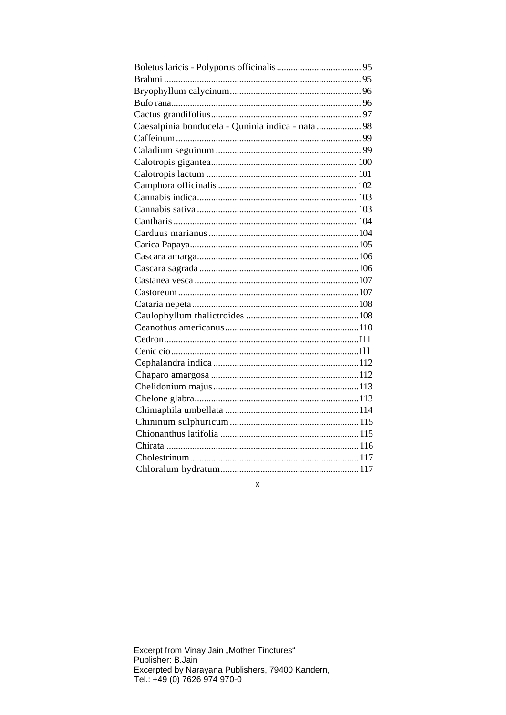| Caesalpinia bonducela - Quninia indica - nata  98 |  |
|---------------------------------------------------|--|
|                                                   |  |
|                                                   |  |
|                                                   |  |
|                                                   |  |
|                                                   |  |
|                                                   |  |
|                                                   |  |
|                                                   |  |
|                                                   |  |
|                                                   |  |
|                                                   |  |
|                                                   |  |
|                                                   |  |
|                                                   |  |
|                                                   |  |
|                                                   |  |
|                                                   |  |
|                                                   |  |
|                                                   |  |
|                                                   |  |
|                                                   |  |
|                                                   |  |
|                                                   |  |
|                                                   |  |
|                                                   |  |
|                                                   |  |
|                                                   |  |
|                                                   |  |
|                                                   |  |
|                                                   |  |

 $\mathsf{x}$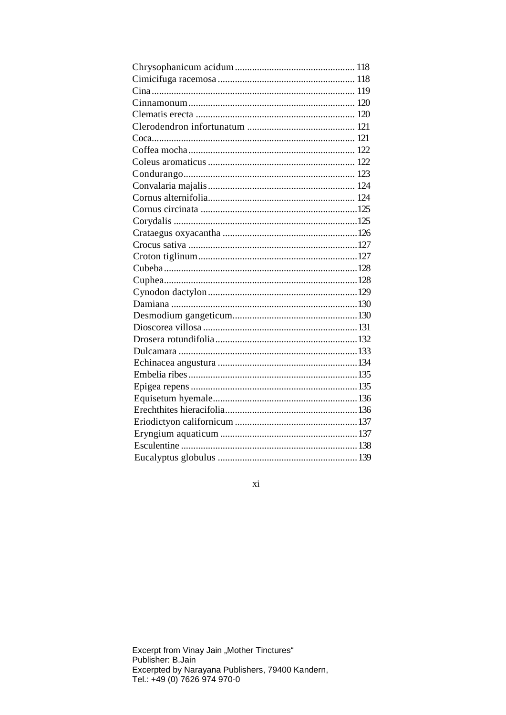xi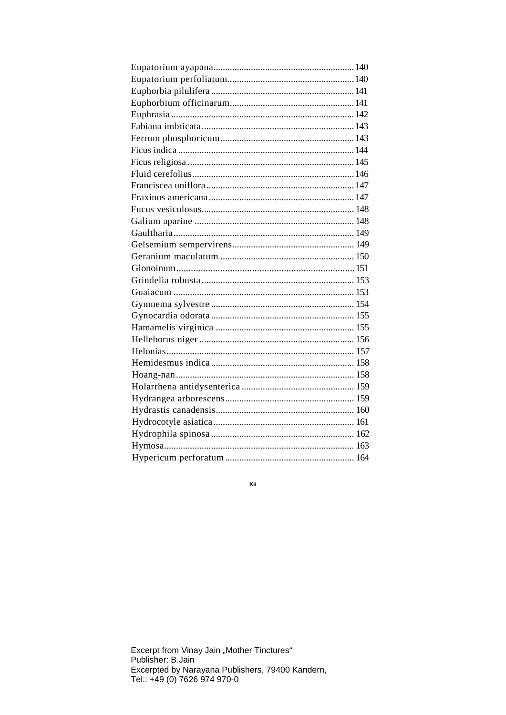Xii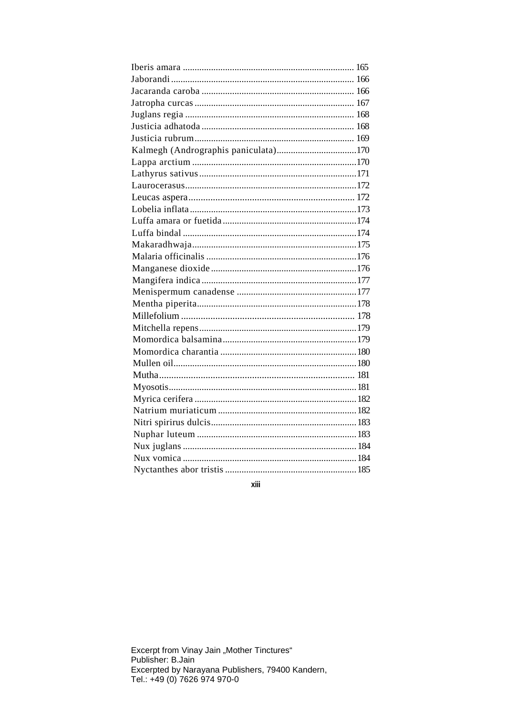xiii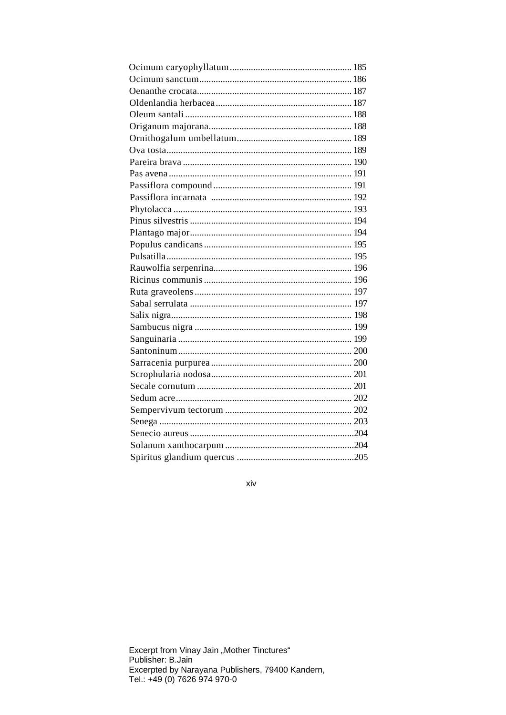xiv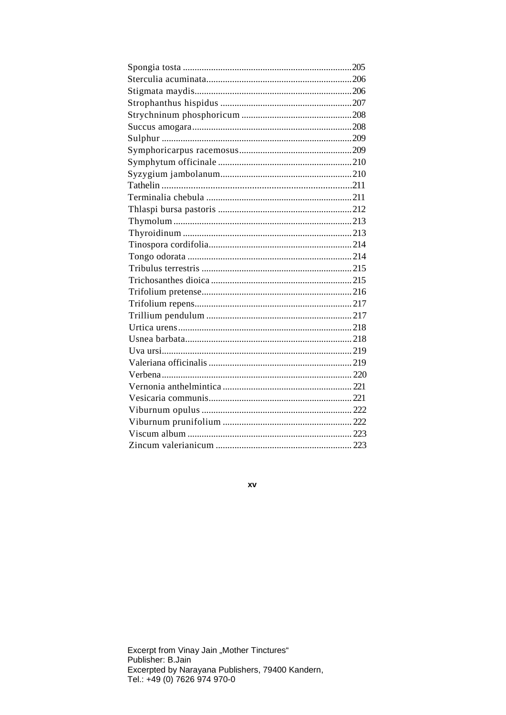$XV$